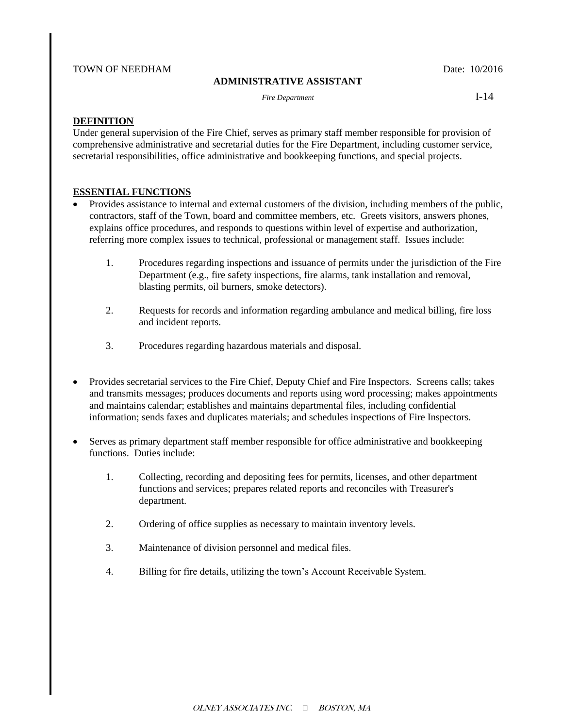### TOWN OF NEEDHAM Date: 10/2016

### **ADMINISTRATIVE ASSISTANT**

*Fire Department* **I-14** 

### **DEFINITION**

Under general supervision of the Fire Chief, serves as primary staff member responsible for provision of comprehensive administrative and secretarial duties for the Fire Department, including customer service, secretarial responsibilities, office administrative and bookkeeping functions, and special projects.

## **ESSENTIAL FUNCTIONS**

- Provides assistance to internal and external customers of the division, including members of the public, contractors, staff of the Town, board and committee members, etc. Greets visitors, answers phones, explains office procedures, and responds to questions within level of expertise and authorization, referring more complex issues to technical, professional or management staff. Issues include:
	- 1. Procedures regarding inspections and issuance of permits under the jurisdiction of the Fire Department (e.g., fire safety inspections, fire alarms, tank installation and removal, blasting permits, oil burners, smoke detectors).
	- 2. Requests for records and information regarding ambulance and medical billing, fire loss and incident reports.
	- 3. Procedures regarding hazardous materials and disposal.
- Provides secretarial services to the Fire Chief, Deputy Chief and Fire Inspectors. Screens calls; takes and transmits messages; produces documents and reports using word processing; makes appointments and maintains calendar; establishes and maintains departmental files, including confidential information; sends faxes and duplicates materials; and schedules inspections of Fire Inspectors.
- Serves as primary department staff member responsible for office administrative and bookkeeping functions. Duties include:
	- 1. Collecting, recording and depositing fees for permits, licenses, and other department functions and services; prepares related reports and reconciles with Treasurer's department.
	- 2. Ordering of office supplies as necessary to maintain inventory levels.
	- 3. Maintenance of division personnel and medical files.
	- 4. Billing for fire details, utilizing the town's Account Receivable System.